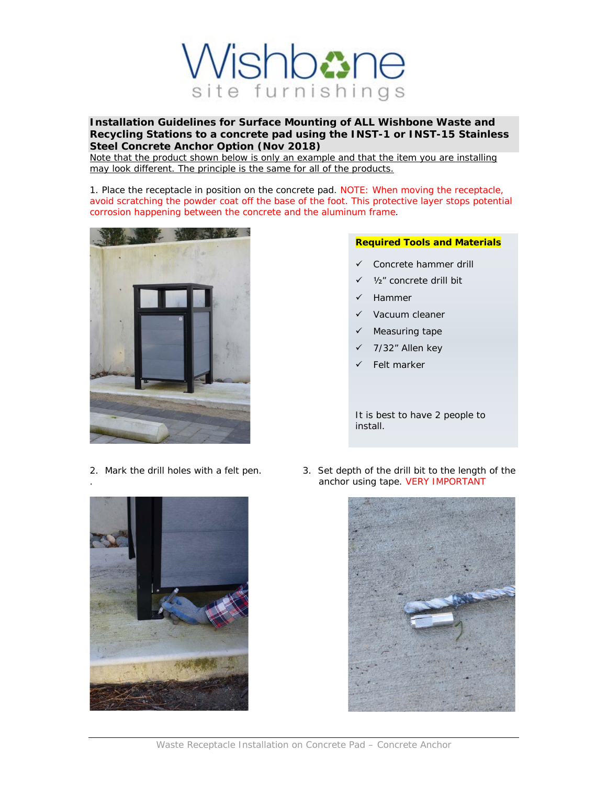

**Installation Guidelines for Surface Mounting of ALL Wishbone Waste and Recycling Stations to a concrete pad using the INST-1 or INST-15 Stainless Steel Concrete Anchor Option (Nov 2018)**

Note that the product shown below is only an example and that the item you are installing may look different. The principle is the same for all of the products.

1. Place the receptacle in position on the concrete pad. NOTE: When moving the receptacle, avoid scratching the powder coat off the base of the foot. This protective layer stops potential corrosion happening between the concrete and the aluminum frame.



## **Required Tools and Materials**

- $\checkmark$  Concrete hammer drill
- ü ½" concrete drill bit
- **Hammer**
- Vacuum cleaner
- Measuring tape
- 7/32" Allen key
- Felt marker

It is best to have 2 people to install.





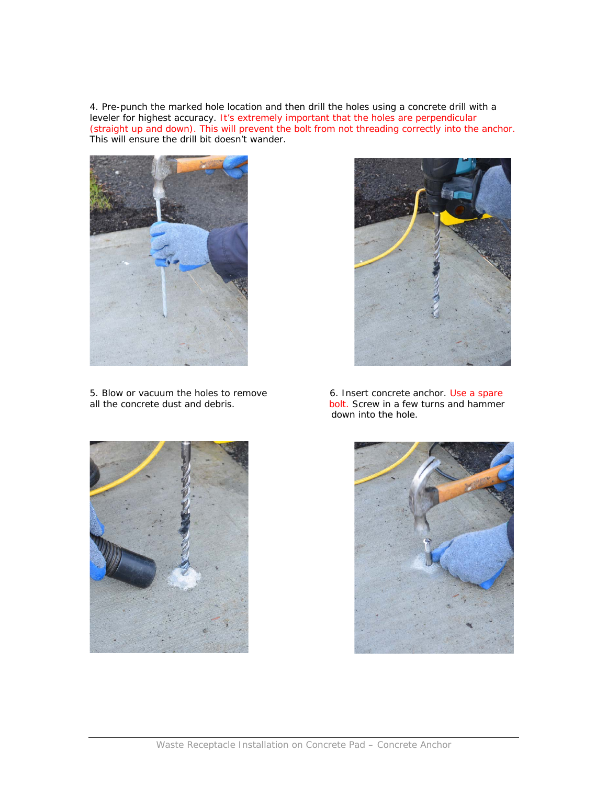4. Pre-punch the marked hole location and then drill the holes using a concrete drill with a leveler for highest accuracy. It's extremely important that the holes are perpendicular (straight up and down). This will prevent the bolt from not threading correctly into the anchor. This will ensure the drill bit doesn't wander.



5. Blow or vacuum the holes to remove 6. Insert concrete anchor. Use a spare all the concrete dust and debris.



bolt. Screw in a few turns and hammer down into the hole.